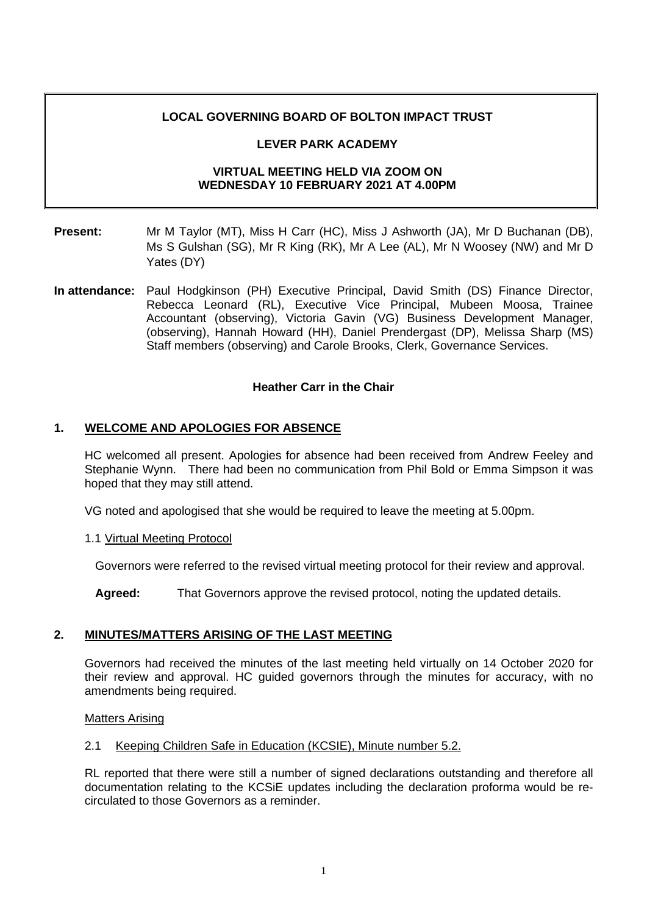## **LOCAL GOVERNING BOARD OF BOLTON IMPACT TRUST**

## **LEVER PARK ACADEMY**

## **VIRTUAL MEETING HELD VIA ZOOM ON WEDNESDAY 10 FEBRUARY 2021 AT 4.00PM**

- **Present:** Mr M Taylor (MT), Miss H Carr (HC), Miss J Ashworth (JA), Mr D Buchanan (DB), Ms S Gulshan (SG), Mr R King (RK), Mr A Lee (AL), Mr N Woosey (NW) and Mr D Yates (DY)
- **In attendance:** Paul Hodgkinson (PH) Executive Principal, David Smith (DS) Finance Director, Rebecca Leonard (RL), Executive Vice Principal, Mubeen Moosa, Trainee Accountant (observing), Victoria Gavin (VG) Business Development Manager, (observing), Hannah Howard (HH), Daniel Prendergast (DP), Melissa Sharp (MS) Staff members (observing) and Carole Brooks, Clerk, Governance Services.

## **Heather Carr in the Chair**

## **1. WELCOME AND APOLOGIES FOR ABSENCE**

HC welcomed all present. Apologies for absence had been received from Andrew Feeley and Stephanie Wynn. There had been no communication from Phil Bold or Emma Simpson it was hoped that they may still attend.

VG noted and apologised that she would be required to leave the meeting at 5.00pm.

1.1 Virtual Meeting Protocol

Governors were referred to the revised virtual meeting protocol for their review and approval.

**Agreed:** That Governors approve the revised protocol, noting the updated details.

## **2. MINUTES/MATTERS ARISING OF THE LAST MEETING**

Governors had received the minutes of the last meeting held virtually on 14 October 2020 for their review and approval. HC guided governors through the minutes for accuracy, with no amendments being required.

### Matters Arising

### 2.1 Keeping Children Safe in Education (KCSIE), Minute number 5.2.

RL reported that there were still a number of signed declarations outstanding and therefore all documentation relating to the KCSiE updates including the declaration proforma would be recirculated to those Governors as a reminder.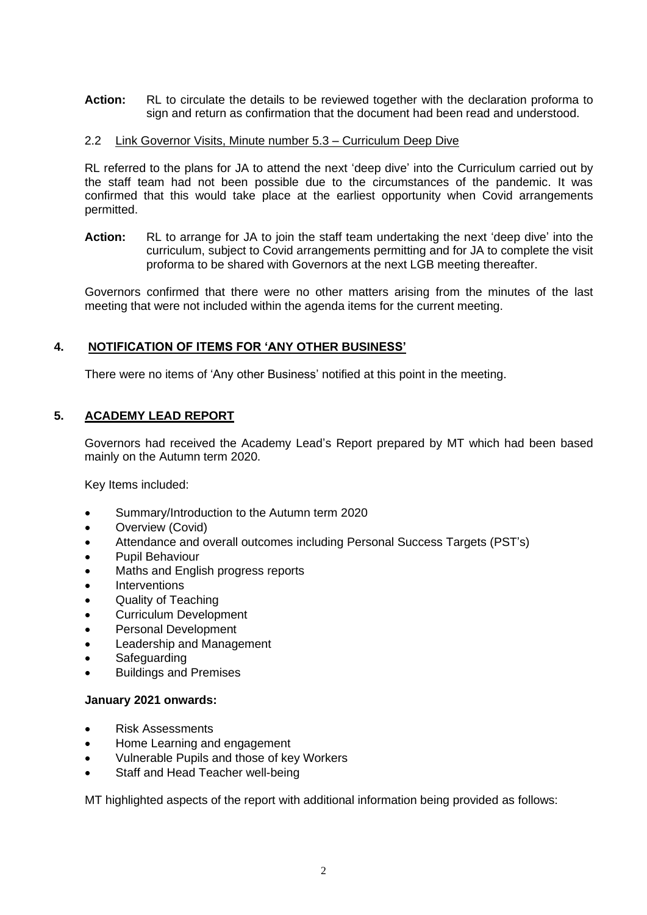**Action:** RL to circulate the details to be reviewed together with the declaration proforma to sign and return as confirmation that the document had been read and understood.

## 2.2 Link Governor Visits, Minute number 5.3 – Curriculum Deep Dive

RL referred to the plans for JA to attend the next 'deep dive' into the Curriculum carried out by the staff team had not been possible due to the circumstances of the pandemic. It was confirmed that this would take place at the earliest opportunity when Covid arrangements permitted.

**Action:** RL to arrange for JA to join the staff team undertaking the next 'deep dive' into the curriculum, subject to Covid arrangements permitting and for JA to complete the visit proforma to be shared with Governors at the next LGB meeting thereafter.

Governors confirmed that there were no other matters arising from the minutes of the last meeting that were not included within the agenda items for the current meeting.

## **4. NOTIFICATION OF ITEMS FOR 'ANY OTHER BUSINESS'**

There were no items of 'Any other Business' notified at this point in the meeting.

## **5. ACADEMY LEAD REPORT**

Governors had received the Academy Lead's Report prepared by MT which had been based mainly on the Autumn term 2020.

Key Items included:

- Summary/Introduction to the Autumn term 2020
- Overview (Covid)
- Attendance and overall outcomes including Personal Success Targets (PST's)
- Pupil Behaviour
- Maths and English progress reports
- **Interventions**
- Quality of Teaching
- Curriculum Development
- Personal Development
- Leadership and Management
- **Safeguarding**
- Buildings and Premises

### **January 2021 onwards:**

- Risk Assessments
- Home Learning and engagement
- Vulnerable Pupils and those of key Workers
- Staff and Head Teacher well-being

MT highlighted aspects of the report with additional information being provided as follows: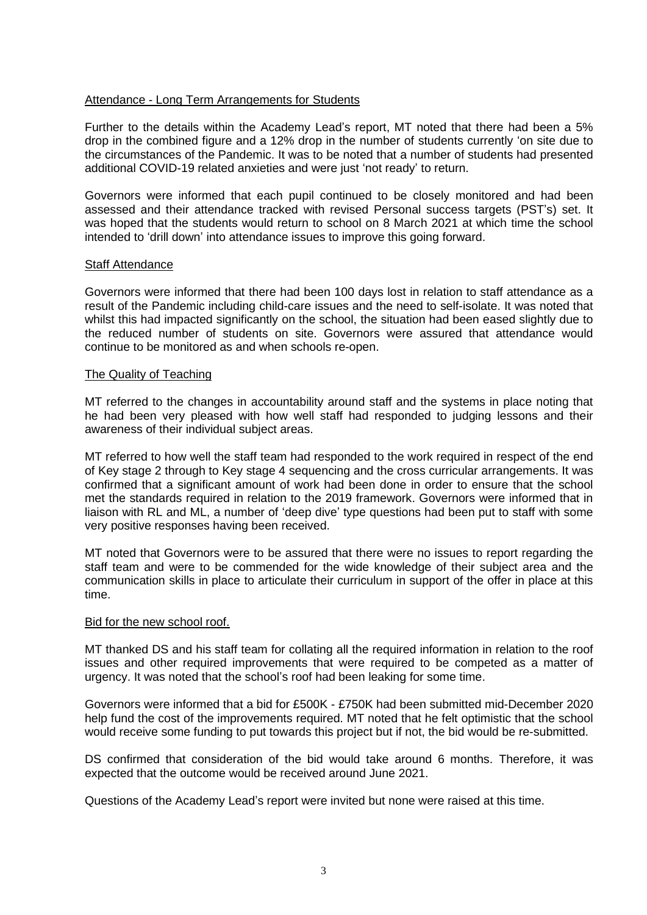## Attendance - Long Term Arrangements for Students

Further to the details within the Academy Lead's report, MT noted that there had been a 5% drop in the combined figure and a 12% drop in the number of students currently 'on site due to the circumstances of the Pandemic. It was to be noted that a number of students had presented additional COVID-19 related anxieties and were just 'not ready' to return.

Governors were informed that each pupil continued to be closely monitored and had been assessed and their attendance tracked with revised Personal success targets (PST's) set. It was hoped that the students would return to school on 8 March 2021 at which time the school intended to 'drill down' into attendance issues to improve this going forward.

### Staff Attendance

Governors were informed that there had been 100 days lost in relation to staff attendance as a result of the Pandemic including child-care issues and the need to self-isolate. It was noted that whilst this had impacted significantly on the school, the situation had been eased slightly due to the reduced number of students on site. Governors were assured that attendance would continue to be monitored as and when schools re-open.

## The Quality of Teaching

MT referred to the changes in accountability around staff and the systems in place noting that he had been very pleased with how well staff had responded to judging lessons and their awareness of their individual subject areas.

MT referred to how well the staff team had responded to the work required in respect of the end of Key stage 2 through to Key stage 4 sequencing and the cross curricular arrangements. It was confirmed that a significant amount of work had been done in order to ensure that the school met the standards required in relation to the 2019 framework. Governors were informed that in liaison with RL and ML, a number of 'deep dive' type questions had been put to staff with some very positive responses having been received.

MT noted that Governors were to be assured that there were no issues to report regarding the staff team and were to be commended for the wide knowledge of their subject area and the communication skills in place to articulate their curriculum in support of the offer in place at this time.

### Bid for the new school roof.

MT thanked DS and his staff team for collating all the required information in relation to the roof issues and other required improvements that were required to be competed as a matter of urgency. It was noted that the school's roof had been leaking for some time.

Governors were informed that a bid for £500K - £750K had been submitted mid-December 2020 help fund the cost of the improvements required. MT noted that he felt optimistic that the school would receive some funding to put towards this project but if not, the bid would be re-submitted.

DS confirmed that consideration of the bid would take around 6 months. Therefore, it was expected that the outcome would be received around June 2021.

Questions of the Academy Lead's report were invited but none were raised at this time.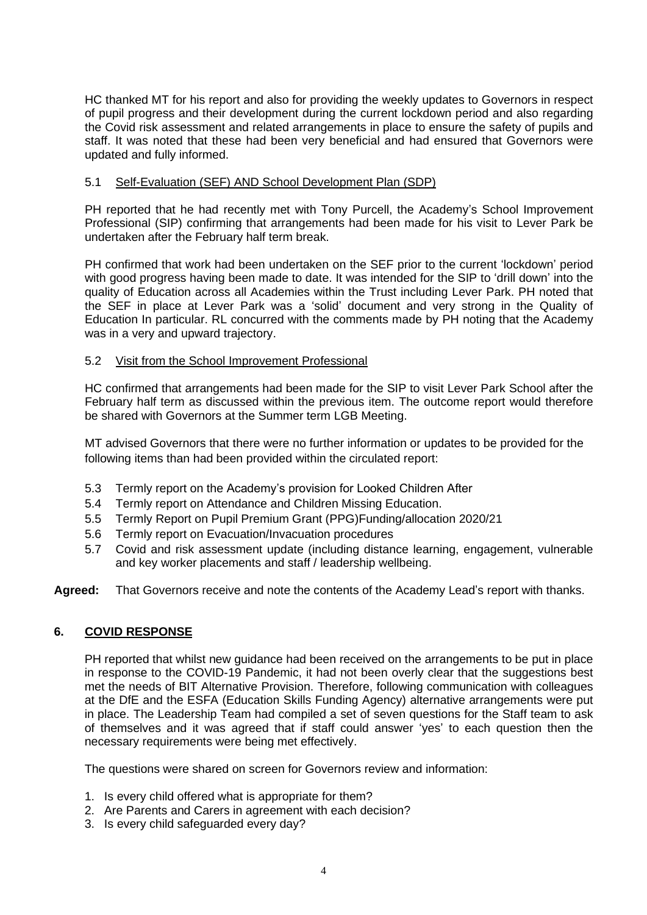HC thanked MT for his report and also for providing the weekly updates to Governors in respect of pupil progress and their development during the current lockdown period and also regarding the Covid risk assessment and related arrangements in place to ensure the safety of pupils and staff. It was noted that these had been very beneficial and had ensured that Governors were updated and fully informed.

## 5.1 Self-Evaluation (SEF) AND School Development Plan (SDP)

PH reported that he had recently met with Tony Purcell, the Academy's School Improvement Professional (SIP) confirming that arrangements had been made for his visit to Lever Park be undertaken after the February half term break.

PH confirmed that work had been undertaken on the SEF prior to the current 'lockdown' period with good progress having been made to date. It was intended for the SIP to 'drill down' into the quality of Education across all Academies within the Trust including Lever Park. PH noted that the SEF in place at Lever Park was a 'solid' document and very strong in the Quality of Education In particular. RL concurred with the comments made by PH noting that the Academy was in a very and upward trajectory.

## 5.2 Visit from the School Improvement Professional

HC confirmed that arrangements had been made for the SIP to visit Lever Park School after the February half term as discussed within the previous item. The outcome report would therefore be shared with Governors at the Summer term LGB Meeting.

MT advised Governors that there were no further information or updates to be provided for the following items than had been provided within the circulated report:

- 5.3 Termly report on the Academy's provision for Looked Children After
- 5.4 Termly report on Attendance and Children Missing Education.
- 5.5 Termly Report on Pupil Premium Grant (PPG)Funding/allocation 2020/21
- 5.6 Termly report on Evacuation/Invacuation procedures
- 5.7 Covid and risk assessment update (including distance learning, engagement, vulnerable and key worker placements and staff / leadership wellbeing.
- **Agreed:** That Governors receive and note the contents of the Academy Lead's report with thanks.

# **6. COVID RESPONSE**

PH reported that whilst new guidance had been received on the arrangements to be put in place in response to the COVID-19 Pandemic, it had not been overly clear that the suggestions best met the needs of BIT Alternative Provision. Therefore, following communication with colleagues at the DfE and the ESFA (Education Skills Funding Agency) alternative arrangements were put in place. The Leadership Team had compiled a set of seven questions for the Staff team to ask of themselves and it was agreed that if staff could answer 'yes' to each question then the necessary requirements were being met effectively.

The questions were shared on screen for Governors review and information:

- 1. Is every child offered what is appropriate for them?
- 2. Are Parents and Carers in agreement with each decision?
- 3. Is every child safeguarded every day?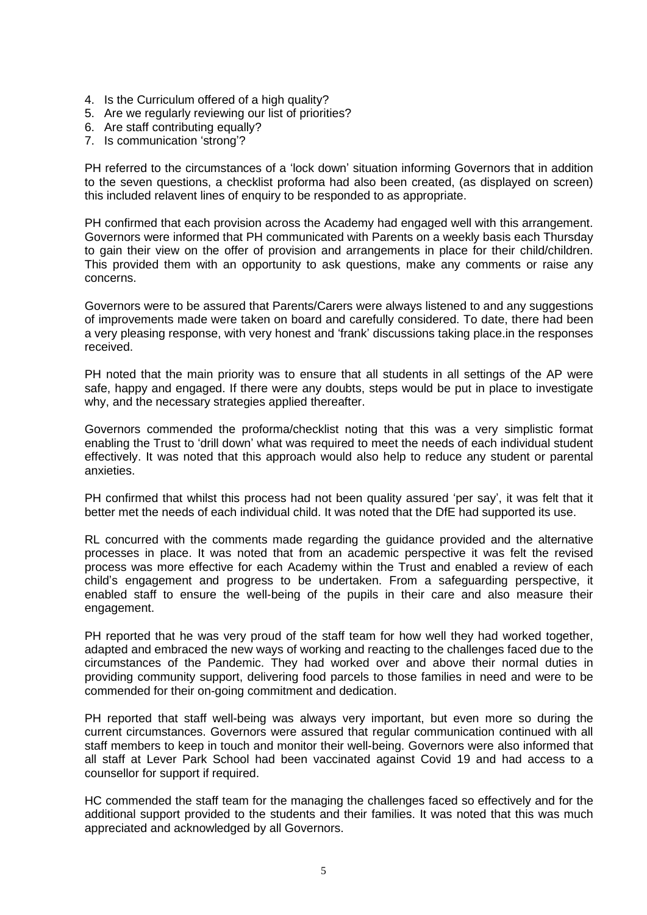- 4. Is the Curriculum offered of a high quality?
- 5. Are we regularly reviewing our list of priorities?
- 6. Are staff contributing equally?
- 7. Is communication 'strong'?

PH referred to the circumstances of a 'lock down' situation informing Governors that in addition to the seven questions, a checklist proforma had also been created, (as displayed on screen) this included relavent lines of enquiry to be responded to as appropriate.

PH confirmed that each provision across the Academy had engaged well with this arrangement. Governors were informed that PH communicated with Parents on a weekly basis each Thursday to gain their view on the offer of provision and arrangements in place for their child/children. This provided them with an opportunity to ask questions, make any comments or raise any concerns.

Governors were to be assured that Parents/Carers were always listened to and any suggestions of improvements made were taken on board and carefully considered. To date, there had been a very pleasing response, with very honest and 'frank' discussions taking place.in the responses received.

PH noted that the main priority was to ensure that all students in all settings of the AP were safe, happy and engaged. If there were any doubts, steps would be put in place to investigate why, and the necessary strategies applied thereafter.

Governors commended the proforma/checklist noting that this was a very simplistic format enabling the Trust to 'drill down' what was required to meet the needs of each individual student effectively. It was noted that this approach would also help to reduce any student or parental anxieties.

PH confirmed that whilst this process had not been quality assured 'per say', it was felt that it better met the needs of each individual child. It was noted that the DfE had supported its use.

RL concurred with the comments made regarding the guidance provided and the alternative processes in place. It was noted that from an academic perspective it was felt the revised process was more effective for each Academy within the Trust and enabled a review of each child's engagement and progress to be undertaken. From a safeguarding perspective, it enabled staff to ensure the well-being of the pupils in their care and also measure their engagement.

PH reported that he was very proud of the staff team for how well they had worked together, adapted and embraced the new ways of working and reacting to the challenges faced due to the circumstances of the Pandemic. They had worked over and above their normal duties in providing community support, delivering food parcels to those families in need and were to be commended for their on-going commitment and dedication.

PH reported that staff well-being was always very important, but even more so during the current circumstances. Governors were assured that regular communication continued with all staff members to keep in touch and monitor their well-being. Governors were also informed that all staff at Lever Park School had been vaccinated against Covid 19 and had access to a counsellor for support if required.

HC commended the staff team for the managing the challenges faced so effectively and for the additional support provided to the students and their families. It was noted that this was much appreciated and acknowledged by all Governors.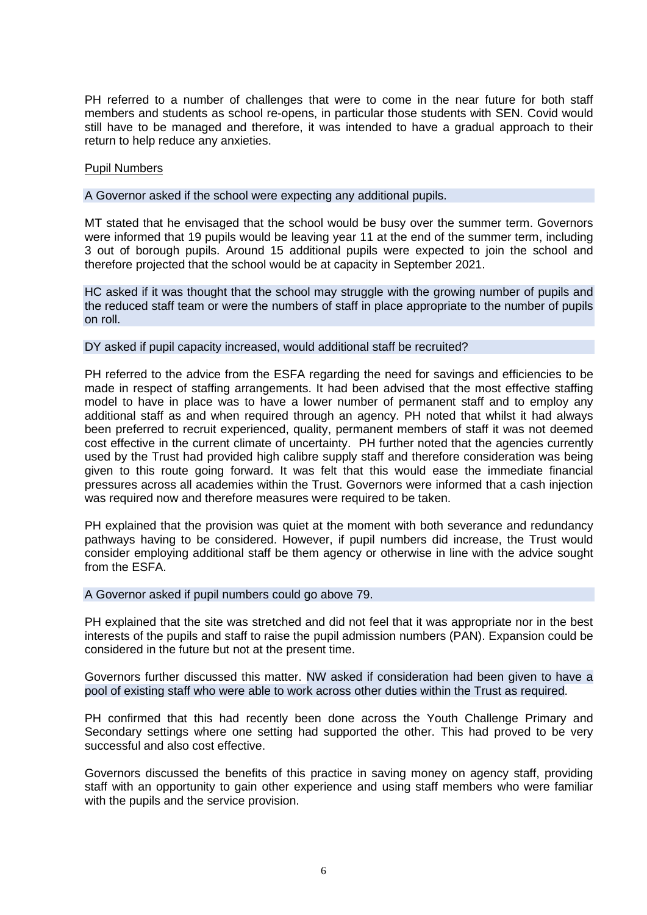PH referred to a number of challenges that were to come in the near future for both staff members and students as school re-opens, in particular those students with SEN. Covid would still have to be managed and therefore, it was intended to have a gradual approach to their return to help reduce any anxieties.

### Pupil Numbers

A Governor asked if the school were expecting any additional pupils.

MT stated that he envisaged that the school would be busy over the summer term. Governors were informed that 19 pupils would be leaving year 11 at the end of the summer term, including 3 out of borough pupils. Around 15 additional pupils were expected to join the school and therefore projected that the school would be at capacity in September 2021.

HC asked if it was thought that the school may struggle with the growing number of pupils and the reduced staff team or were the numbers of staff in place appropriate to the number of pupils on roll.

### DY asked if pupil capacity increased, would additional staff be recruited?

PH referred to the advice from the ESFA regarding the need for savings and efficiencies to be made in respect of staffing arrangements. It had been advised that the most effective staffing model to have in place was to have a lower number of permanent staff and to employ any additional staff as and when required through an agency. PH noted that whilst it had always been preferred to recruit experienced, quality, permanent members of staff it was not deemed cost effective in the current climate of uncertainty. PH further noted that the agencies currently used by the Trust had provided high calibre supply staff and therefore consideration was being given to this route going forward. It was felt that this would ease the immediate financial pressures across all academies within the Trust. Governors were informed that a cash injection was required now and therefore measures were required to be taken.

PH explained that the provision was quiet at the moment with both severance and redundancy pathways having to be considered. However, if pupil numbers did increase, the Trust would consider employing additional staff be them agency or otherwise in line with the advice sought from the **ESFA** 

A Governor asked if pupil numbers could go above 79.

PH explained that the site was stretched and did not feel that it was appropriate nor in the best interests of the pupils and staff to raise the pupil admission numbers (PAN). Expansion could be considered in the future but not at the present time.

Governors further discussed this matter. NW asked if consideration had been given to have a pool of existing staff who were able to work across other duties within the Trust as required.

PH confirmed that this had recently been done across the Youth Challenge Primary and Secondary settings where one setting had supported the other. This had proved to be very successful and also cost effective.

Governors discussed the benefits of this practice in saving money on agency staff, providing staff with an opportunity to gain other experience and using staff members who were familiar with the pupils and the service provision.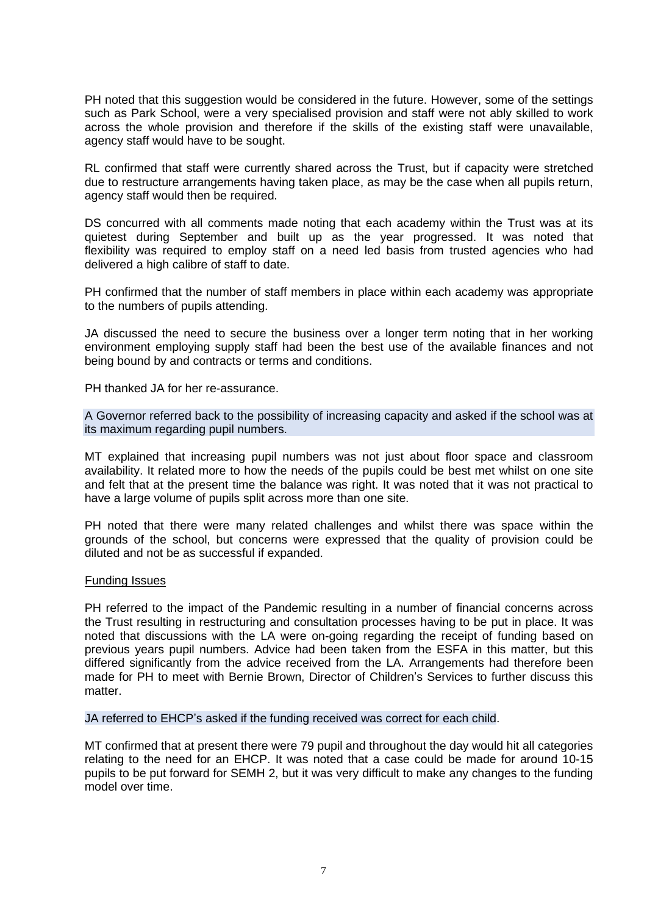PH noted that this suggestion would be considered in the future. However, some of the settings such as Park School, were a very specialised provision and staff were not ably skilled to work across the whole provision and therefore if the skills of the existing staff were unavailable, agency staff would have to be sought.

RL confirmed that staff were currently shared across the Trust, but if capacity were stretched due to restructure arrangements having taken place, as may be the case when all pupils return, agency staff would then be required.

DS concurred with all comments made noting that each academy within the Trust was at its quietest during September and built up as the year progressed. It was noted that flexibility was required to employ staff on a need led basis from trusted agencies who had delivered a high calibre of staff to date.

PH confirmed that the number of staff members in place within each academy was appropriate to the numbers of pupils attending.

JA discussed the need to secure the business over a longer term noting that in her working environment employing supply staff had been the best use of the available finances and not being bound by and contracts or terms and conditions.

PH thanked JA for her re-assurance.

A Governor referred back to the possibility of increasing capacity and asked if the school was at its maximum regarding pupil numbers.

MT explained that increasing pupil numbers was not just about floor space and classroom availability. It related more to how the needs of the pupils could be best met whilst on one site and felt that at the present time the balance was right. It was noted that it was not practical to have a large volume of pupils split across more than one site.

PH noted that there were many related challenges and whilst there was space within the grounds of the school, but concerns were expressed that the quality of provision could be diluted and not be as successful if expanded.

### Funding Issues

PH referred to the impact of the Pandemic resulting in a number of financial concerns across the Trust resulting in restructuring and consultation processes having to be put in place. It was noted that discussions with the LA were on-going regarding the receipt of funding based on previous years pupil numbers. Advice had been taken from the ESFA in this matter, but this differed significantly from the advice received from the LA. Arrangements had therefore been made for PH to meet with Bernie Brown, Director of Children's Services to further discuss this matter.

JA referred to EHCP's asked if the funding received was correct for each child.

MT confirmed that at present there were 79 pupil and throughout the day would hit all categories relating to the need for an EHCP. It was noted that a case could be made for around 10-15 pupils to be put forward for SEMH 2, but it was very difficult to make any changes to the funding model over time.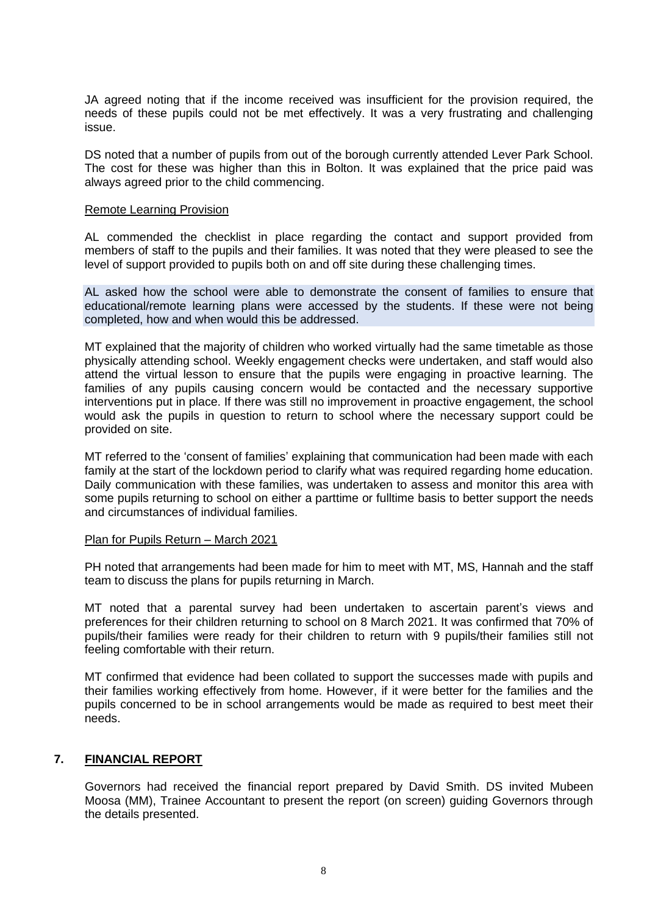JA agreed noting that if the income received was insufficient for the provision required, the needs of these pupils could not be met effectively. It was a very frustrating and challenging issue.

DS noted that a number of pupils from out of the borough currently attended Lever Park School. The cost for these was higher than this in Bolton. It was explained that the price paid was always agreed prior to the child commencing.

### Remote Learning Provision

AL commended the checklist in place regarding the contact and support provided from members of staff to the pupils and their families. It was noted that they were pleased to see the level of support provided to pupils both on and off site during these challenging times.

AL asked how the school were able to demonstrate the consent of families to ensure that educational/remote learning plans were accessed by the students. If these were not being completed, how and when would this be addressed.

MT explained that the majority of children who worked virtually had the same timetable as those physically attending school. Weekly engagement checks were undertaken, and staff would also attend the virtual lesson to ensure that the pupils were engaging in proactive learning. The families of any pupils causing concern would be contacted and the necessary supportive interventions put in place. If there was still no improvement in proactive engagement, the school would ask the pupils in question to return to school where the necessary support could be provided on site.

MT referred to the 'consent of families' explaining that communication had been made with each family at the start of the lockdown period to clarify what was required regarding home education. Daily communication with these families, was undertaken to assess and monitor this area with some pupils returning to school on either a parttime or fulltime basis to better support the needs and circumstances of individual families.

#### Plan for Pupils Return – March 2021

PH noted that arrangements had been made for him to meet with MT, MS, Hannah and the staff team to discuss the plans for pupils returning in March.

MT noted that a parental survey had been undertaken to ascertain parent's views and preferences for their children returning to school on 8 March 2021. It was confirmed that 70% of pupils/their families were ready for their children to return with 9 pupils/their families still not feeling comfortable with their return.

MT confirmed that evidence had been collated to support the successes made with pupils and their families working effectively from home. However, if it were better for the families and the pupils concerned to be in school arrangements would be made as required to best meet their needs.

### **7. FINANCIAL REPORT**

Governors had received the financial report prepared by David Smith. DS invited Mubeen Moosa (MM), Trainee Accountant to present the report (on screen) guiding Governors through the details presented.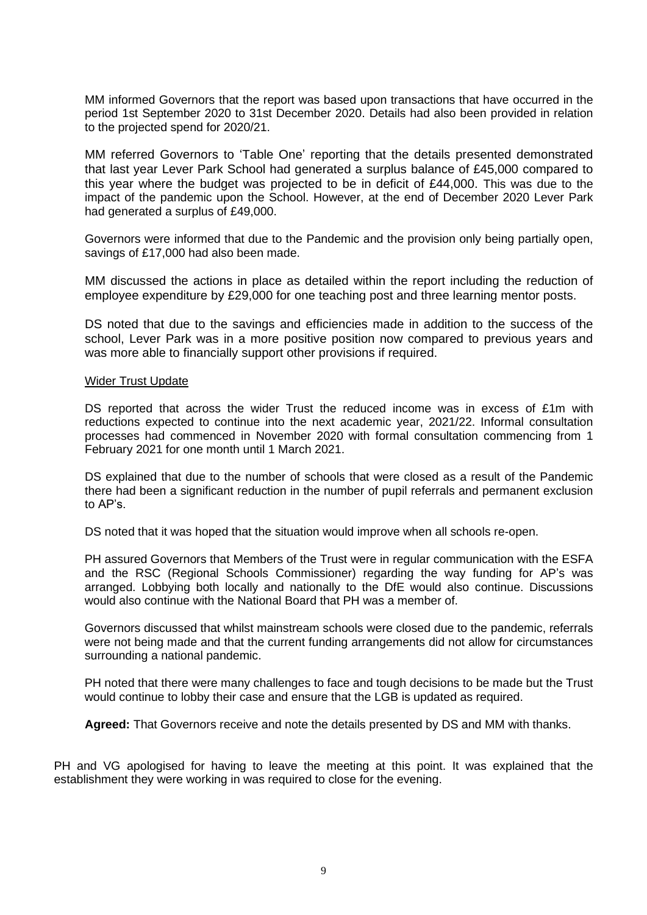MM informed Governors that the report was based upon transactions that have occurred in the period 1st September 2020 to 31st December 2020. Details had also been provided in relation to the projected spend for 2020/21.

MM referred Governors to 'Table One' reporting that the details presented demonstrated that last year Lever Park School had generated a surplus balance of £45,000 compared to this year where the budget was projected to be in deficit of £44,000. This was due to the impact of the pandemic upon the School. However, at the end of December 2020 Lever Park had generated a surplus of £49,000.

Governors were informed that due to the Pandemic and the provision only being partially open, savings of £17,000 had also been made.

MM discussed the actions in place as detailed within the report including the reduction of employee expenditure by £29,000 for one teaching post and three learning mentor posts.

DS noted that due to the savings and efficiencies made in addition to the success of the school, Lever Park was in a more positive position now compared to previous years and was more able to financially support other provisions if required.

### Wider Trust Update

DS reported that across the wider Trust the reduced income was in excess of £1m with reductions expected to continue into the next academic year, 2021/22. Informal consultation processes had commenced in November 2020 with formal consultation commencing from 1 February 2021 for one month until 1 March 2021.

DS explained that due to the number of schools that were closed as a result of the Pandemic there had been a significant reduction in the number of pupil referrals and permanent exclusion to AP's.

DS noted that it was hoped that the situation would improve when all schools re-open.

PH assured Governors that Members of the Trust were in regular communication with the ESFA and the RSC (Regional Schools Commissioner) regarding the way funding for AP's was arranged. Lobbying both locally and nationally to the DfE would also continue. Discussions would also continue with the National Board that PH was a member of.

Governors discussed that whilst mainstream schools were closed due to the pandemic, referrals were not being made and that the current funding arrangements did not allow for circumstances surrounding a national pandemic.

PH noted that there were many challenges to face and tough decisions to be made but the Trust would continue to lobby their case and ensure that the LGB is updated as required.

**Agreed:** That Governors receive and note the details presented by DS and MM with thanks.

PH and VG apologised for having to leave the meeting at this point. It was explained that the establishment they were working in was required to close for the evening.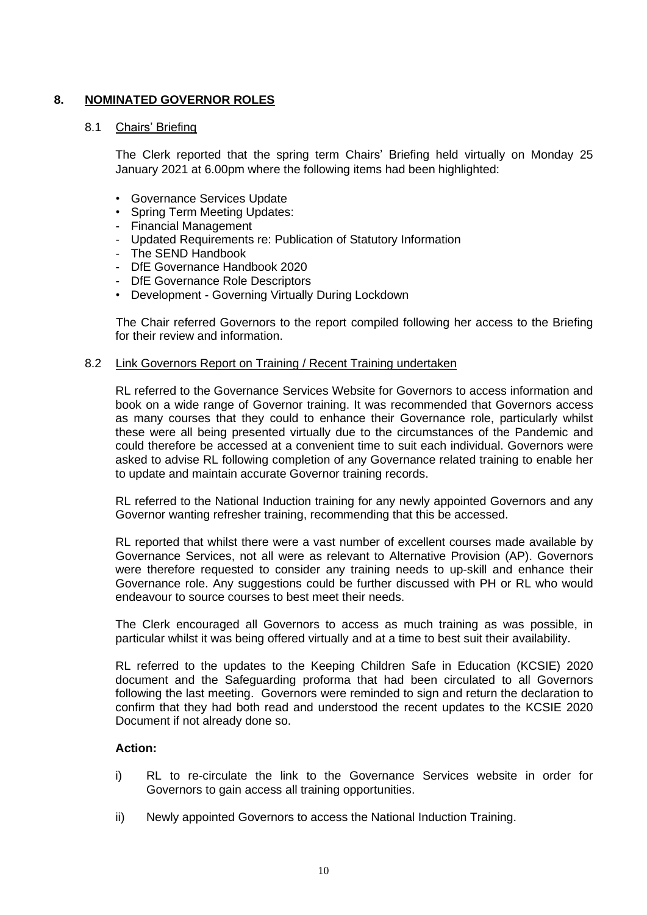# **8. NOMINATED GOVERNOR ROLES**

### 8.1 Chairs' Briefing

The Clerk reported that the spring term Chairs' Briefing held virtually on Monday 25 January 2021 at 6.00pm where the following items had been highlighted:

- Governance Services Update
- Spring Term Meeting Updates:
- Financial Management
- Updated Requirements re: Publication of Statutory Information
- The SEND Handbook
- DfE Governance Handbook 2020
- DfE Governance Role Descriptors
- Development Governing Virtually During Lockdown

The Chair referred Governors to the report compiled following her access to the Briefing for their review and information.

### 8.2 Link Governors Report on Training / Recent Training undertaken

RL referred to the Governance Services Website for Governors to access information and book on a wide range of Governor training. It was recommended that Governors access as many courses that they could to enhance their Governance role, particularly whilst these were all being presented virtually due to the circumstances of the Pandemic and could therefore be accessed at a convenient time to suit each individual. Governors were asked to advise RL following completion of any Governance related training to enable her to update and maintain accurate Governor training records.

RL referred to the National Induction training for any newly appointed Governors and any Governor wanting refresher training, recommending that this be accessed.

RL reported that whilst there were a vast number of excellent courses made available by Governance Services, not all were as relevant to Alternative Provision (AP). Governors were therefore requested to consider any training needs to up-skill and enhance their Governance role. Any suggestions could be further discussed with PH or RL who would endeavour to source courses to best meet their needs.

The Clerk encouraged all Governors to access as much training as was possible, in particular whilst it was being offered virtually and at a time to best suit their availability.

RL referred to the updates to the Keeping Children Safe in Education (KCSIE) 2020 document and the Safeguarding proforma that had been circulated to all Governors following the last meeting. Governors were reminded to sign and return the declaration to confirm that they had both read and understood the recent updates to the KCSIE 2020 Document if not already done so.

### **Action:**

- i) RL to re-circulate the link to the Governance Services website in order for Governors to gain access all training opportunities.
- ii) Newly appointed Governors to access the National Induction Training.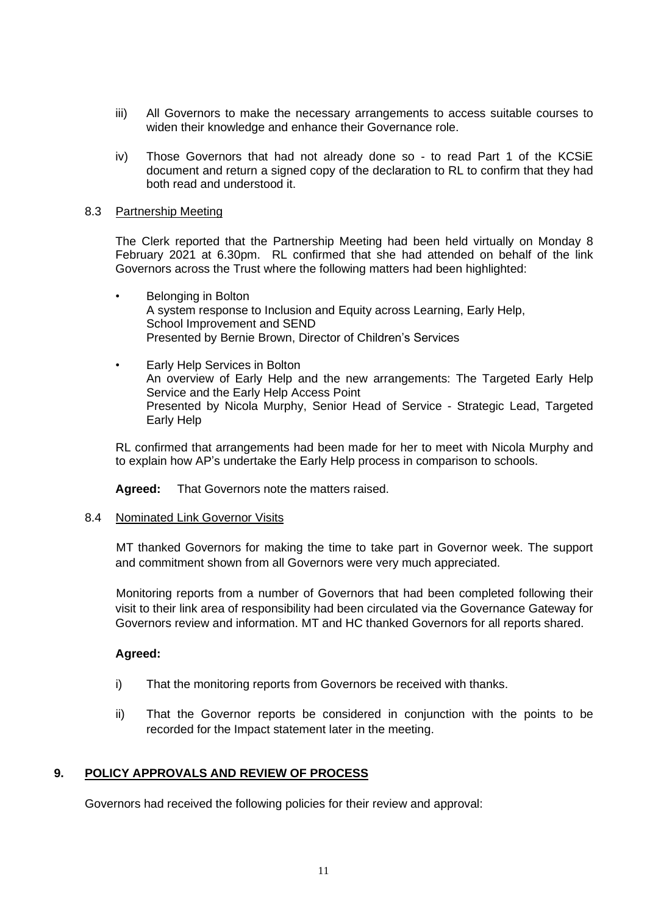- iii) All Governors to make the necessary arrangements to access suitable courses to widen their knowledge and enhance their Governance role.
- iv) Those Governors that had not already done so to read Part 1 of the KCSiE document and return a signed copy of the declaration to RL to confirm that they had both read and understood it.

## 8.3 Partnership Meeting

The Clerk reported that the Partnership Meeting had been held virtually on Monday 8 February 2021 at 6.30pm. RL confirmed that she had attended on behalf of the link Governors across the Trust where the following matters had been highlighted:

- Belonging in Bolton A system response to Inclusion and Equity across Learning, Early Help, School Improvement and SEND Presented by Bernie Brown, Director of Children's Services
- Early Help Services in Bolton An overview of Early Help and the new arrangements: The Targeted Early Help Service and the Early Help Access Point Presented by Nicola Murphy, Senior Head of Service - Strategic Lead, Targeted Early Help

RL confirmed that arrangements had been made for her to meet with Nicola Murphy and to explain how AP's undertake the Early Help process in comparison to schools.

**Agreed:** That Governors note the matters raised.

### 8.4 Nominated Link Governor Visits

MT thanked Governors for making the time to take part in Governor week. The support and commitment shown from all Governors were very much appreciated.

Monitoring reports from a number of Governors that had been completed following their visit to their link area of responsibility had been circulated via the Governance Gateway for Governors review and information. MT and HC thanked Governors for all reports shared.

## **Agreed:**

- i) That the monitoring reports from Governors be received with thanks.
- ii) That the Governor reports be considered in conjunction with the points to be recorded for the Impact statement later in the meeting.

## **9. POLICY APPROVALS AND REVIEW OF PROCESS**

Governors had received the following policies for their review and approval: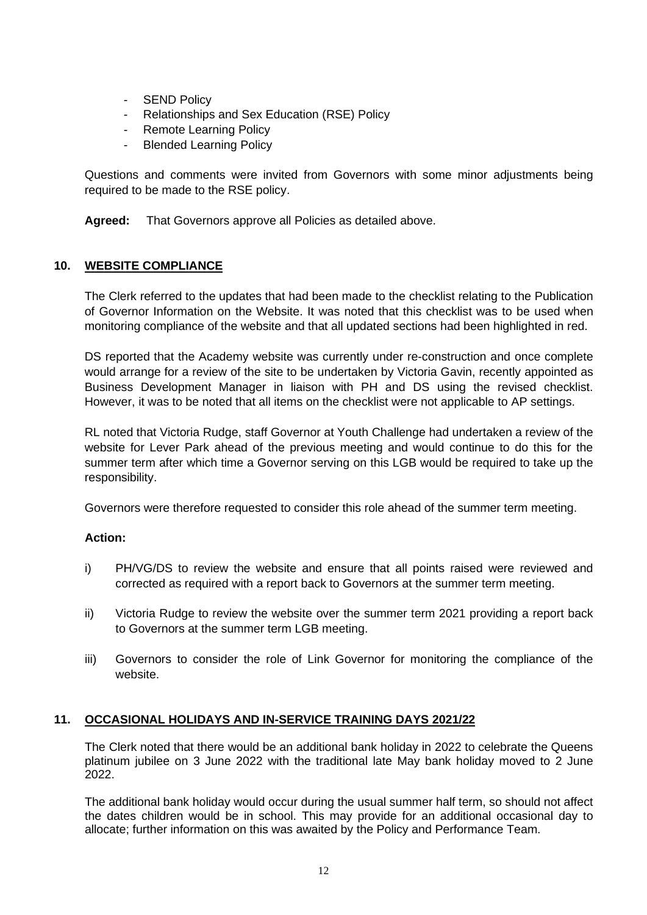- **SEND Policy**
- Relationships and Sex Education (RSE) Policy
- Remote Learning Policy
- **Blended Learning Policy**

Questions and comments were invited from Governors with some minor adjustments being required to be made to the RSE policy.

**Agreed:** That Governors approve all Policies as detailed above.

## **10. WEBSITE COMPLIANCE**

The Clerk referred to the updates that had been made to the checklist relating to the Publication of Governor Information on the Website. It was noted that this checklist was to be used when monitoring compliance of the website and that all updated sections had been highlighted in red.

DS reported that the Academy website was currently under re-construction and once complete would arrange for a review of the site to be undertaken by Victoria Gavin, recently appointed as Business Development Manager in liaison with PH and DS using the revised checklist. However, it was to be noted that all items on the checklist were not applicable to AP settings.

RL noted that Victoria Rudge, staff Governor at Youth Challenge had undertaken a review of the website for Lever Park ahead of the previous meeting and would continue to do this for the summer term after which time a Governor serving on this LGB would be required to take up the responsibility.

Governors were therefore requested to consider this role ahead of the summer term meeting.

## **Action:**

- i) PH/VG/DS to review the website and ensure that all points raised were reviewed and corrected as required with a report back to Governors at the summer term meeting.
- ii) Victoria Rudge to review the website over the summer term 2021 providing a report back to Governors at the summer term LGB meeting.
- iii) Governors to consider the role of Link Governor for monitoring the compliance of the website.

## **11. OCCASIONAL HOLIDAYS AND IN-SERVICE TRAINING DAYS 2021/22**

The Clerk noted that there would be an additional bank holiday in 2022 to celebrate the Queens platinum jubilee on 3 June 2022 with the traditional late May bank holiday moved to 2 June 2022.

The additional bank holiday would occur during the usual summer half term, so should not affect the dates children would be in school. This may provide for an additional occasional day to allocate; further information on this was awaited by the Policy and Performance Team.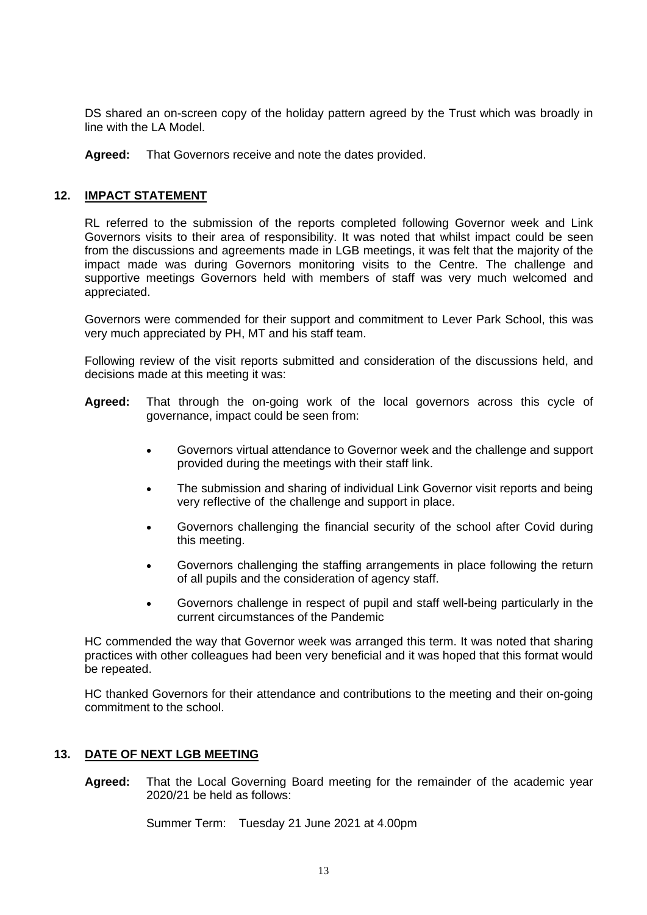DS shared an on-screen copy of the holiday pattern agreed by the Trust which was broadly in line with the LA Model.

**Agreed:** That Governors receive and note the dates provided.

## **12. IMPACT STATEMENT**

RL referred to the submission of the reports completed following Governor week and Link Governors visits to their area of responsibility. It was noted that whilst impact could be seen from the discussions and agreements made in LGB meetings, it was felt that the majority of the impact made was during Governors monitoring visits to the Centre. The challenge and supportive meetings Governors held with members of staff was very much welcomed and appreciated.

Governors were commended for their support and commitment to Lever Park School, this was very much appreciated by PH, MT and his staff team.

Following review of the visit reports submitted and consideration of the discussions held, and decisions made at this meeting it was:

- **Agreed:** That through the on-going work of the local governors across this cycle of governance, impact could be seen from:
	- Governors virtual attendance to Governor week and the challenge and support provided during the meetings with their staff link.
	- The submission and sharing of individual Link Governor visit reports and being very reflective of the challenge and support in place.
	- Governors challenging the financial security of the school after Covid during this meeting.
	- Governors challenging the staffing arrangements in place following the return of all pupils and the consideration of agency staff.
	- Governors challenge in respect of pupil and staff well-being particularly in the current circumstances of the Pandemic

HC commended the way that Governor week was arranged this term. It was noted that sharing practices with other colleagues had been very beneficial and it was hoped that this format would be repeated.

HC thanked Governors for their attendance and contributions to the meeting and their on-going commitment to the school.

## **13. DATE OF NEXT LGB MEETING**

**Agreed:** That the Local Governing Board meeting for the remainder of the academic year 2020/21 be held as follows:

Summer Term: Tuesday 21 June 2021 at 4.00pm